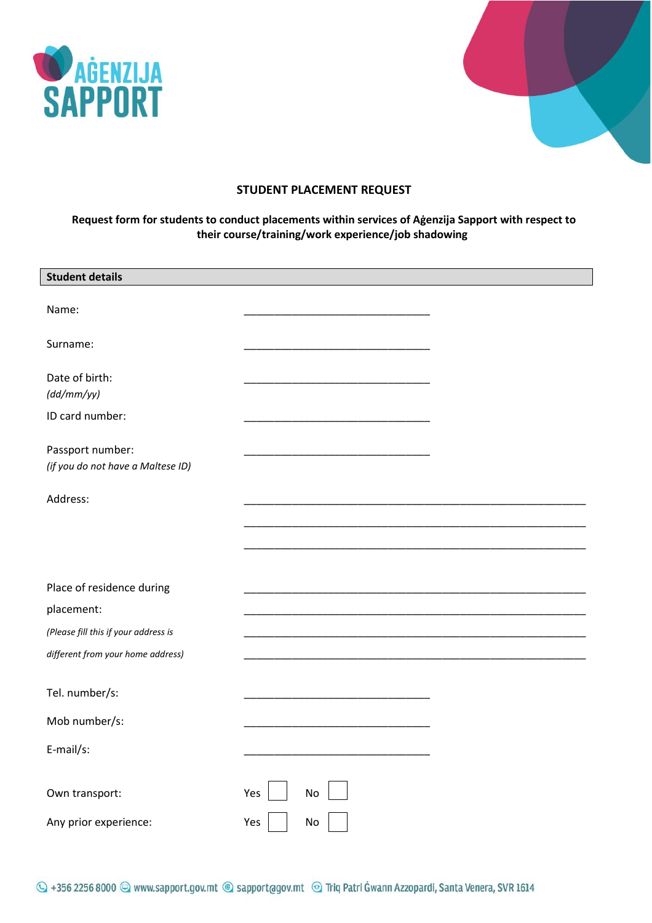



# **STUDENT PLACEMENT REQUEST**

## **Request form for students to conduct placements within services of Aġenzija Sapport with respect to their course/training/work experience/job shadowing**

| <b>Student details</b>                                |                  |
|-------------------------------------------------------|------------------|
| Name:                                                 |                  |
| Surname:                                              |                  |
| Date of birth:<br>(dd/mm/yy)                          |                  |
| ID card number:                                       |                  |
| Passport number:<br>(if you do not have a Maltese ID) |                  |
| Address:                                              |                  |
|                                                       |                  |
|                                                       |                  |
| Place of residence during                             |                  |
| placement:                                            |                  |
| (Please fill this if your address is                  |                  |
| different from your home address)                     |                  |
| Tel. number/s:                                        |                  |
| Mob number/s:                                         |                  |
| E-mail/s:                                             |                  |
| Own transport:                                        | Yes<br><b>No</b> |
| Any prior experience:                                 | Yes<br>No        |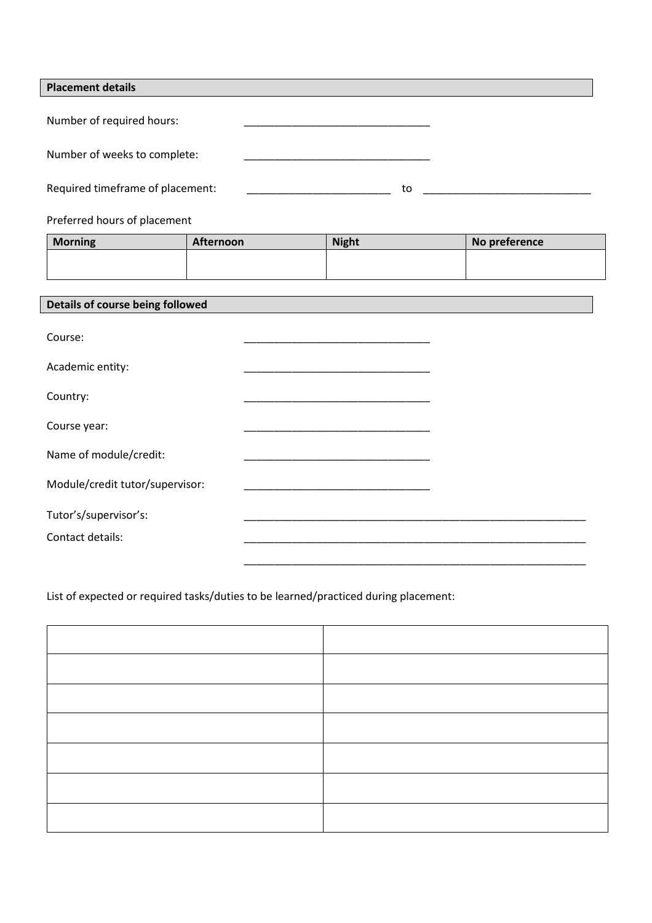| <b>Placement details</b>                  |           |                                                                       |               |  |  |  |
|-------------------------------------------|-----------|-----------------------------------------------------------------------|---------------|--|--|--|
| Number of required hours:                 |           |                                                                       |               |  |  |  |
| Number of weeks to complete:              |           | <u> 1989 - Johann John Stone, mars eta biztanleria (</u>              |               |  |  |  |
| Required timeframe of placement:          |           | to<br><u> 2000 - Jan James James Barbara, president eta idazlea (</u> |               |  |  |  |
| Preferred hours of placement              |           |                                                                       |               |  |  |  |
| <b>Morning</b>                            | Afternoon | <b>Night</b>                                                          | No preference |  |  |  |
|                                           |           |                                                                       |               |  |  |  |
| Details of course being followed          |           |                                                                       |               |  |  |  |
| Course:                                   |           |                                                                       |               |  |  |  |
| Academic entity:                          |           |                                                                       |               |  |  |  |
| Country:                                  |           |                                                                       |               |  |  |  |
| Course year:                              |           |                                                                       |               |  |  |  |
| Name of module/credit:                    |           |                                                                       |               |  |  |  |
| Module/credit tutor/supervisor:           |           |                                                                       |               |  |  |  |
| Tutor's/supervisor's:<br>Contact details: |           |                                                                       |               |  |  |  |

List of expected or required tasks/duties to be learned/practiced during placement:

| <b>Service</b> |  |
|----------------|--|
|                |  |
|                |  |

\_\_\_\_\_\_\_\_\_\_\_\_\_\_\_\_\_\_\_\_\_\_\_\_\_\_\_\_\_\_\_\_\_\_\_\_\_\_\_\_\_\_\_\_\_\_\_\_\_\_\_\_\_\_\_\_\_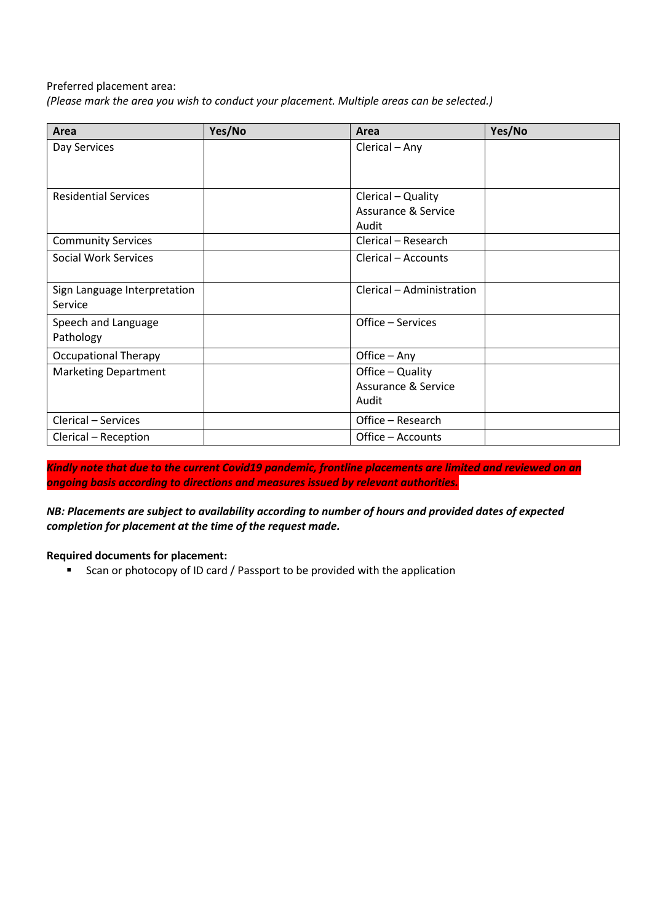### Preferred placement area:

*(Please mark the area you wish to conduct your placement. Multiple areas can be selected.)*

| Area                         | Yes/No | Area                           | Yes/No |
|------------------------------|--------|--------------------------------|--------|
| Day Services                 |        | Clerical - Any                 |        |
|                              |        |                                |        |
| <b>Residential Services</b>  |        | Clerical - Quality             |        |
|                              |        | <b>Assurance &amp; Service</b> |        |
|                              |        | Audit                          |        |
| <b>Community Services</b>    |        | Clerical - Research            |        |
| <b>Social Work Services</b>  |        | Clerical - Accounts            |        |
| Sign Language Interpretation |        | Clerical - Administration      |        |
| Service                      |        |                                |        |
| Speech and Language          |        | Office - Services              |        |
| Pathology                    |        |                                |        |
| <b>Occupational Therapy</b>  |        | Office - Any                   |        |
| <b>Marketing Department</b>  |        | Office - Quality               |        |
|                              |        | <b>Assurance &amp; Service</b> |        |
|                              |        | Audit                          |        |
| Clerical - Services          |        | Office - Research              |        |
| Clerical - Reception         |        | Office - Accounts              |        |

*Kindly note that due to the current Covid19 pandemic, frontline placements are limited and reviewed on an ongoing basis according to directions and measures issued by relevant authorities.*

*NB: Placements are subject to availability according to number of hours and provided dates of expected completion for placement at the time of the request made.*

### **Required documents for placement:**

**EXECT** Scan or photocopy of ID card / Passport to be provided with the application